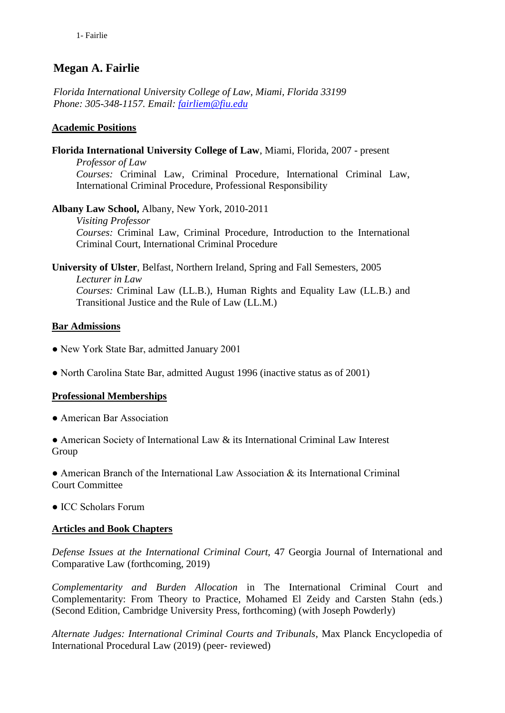# **Megan A. Fairlie**

*Florida International University College of Law, Miami, Florida 33199 Phone: 305-348-1157. Email: [fairliem@fiu.edu](mailto:fairliem@fiu.edu)*

## **Academic Positions**

**Florida International University College of Law**, Miami, Florida, 2007 - present *Professor of Law Courses:* Criminal Law, Criminal Procedure, International Criminal Law, International Criminal Procedure, Professional Responsibility

**Albany Law School,** Albany, New York, 2010-2011 *Visiting Professor Courses:* Criminal Law, Criminal Procedure, Introduction to the International Criminal Court, International Criminal Procedure

**University of Ulster**, Belfast, Northern Ireland, Spring and Fall Semesters, 2005

*Lecturer in Law Courses:* Criminal Law (LL.B.), Human Rights and Equality Law (LL.B.) and Transitional Justice and the Rule of Law (LL.M.)

# **Bar Admissions**

- New York State Bar, admitted January 2001
- North Carolina State Bar, admitted August 1996 (inactive status as of 2001)

## **Professional Memberships**

● American Bar Association

● American Society of International Law & its International Criminal Law Interest **Group** 

● American Branch of the International Law Association & its International Criminal Court Committee

● ICC Scholars Forum

## **Articles and Book Chapters**

*Defense Issues at the International Criminal Court,* 47 Georgia Journal of International and Comparative Law (forthcoming, 2019)

*Complementarity and Burden Allocation* in The International Criminal Court and Complementarity: From Theory to Practice, Mohamed El Zeidy and Carsten Stahn (eds.) (Second Edition, Cambridge University Press, forthcoming) (with Joseph Powderly)

*Alternate Judges: International Criminal Courts and Tribunals,* Max Planck Encyclopedia of International Procedural Law (2019) (peer- reviewed)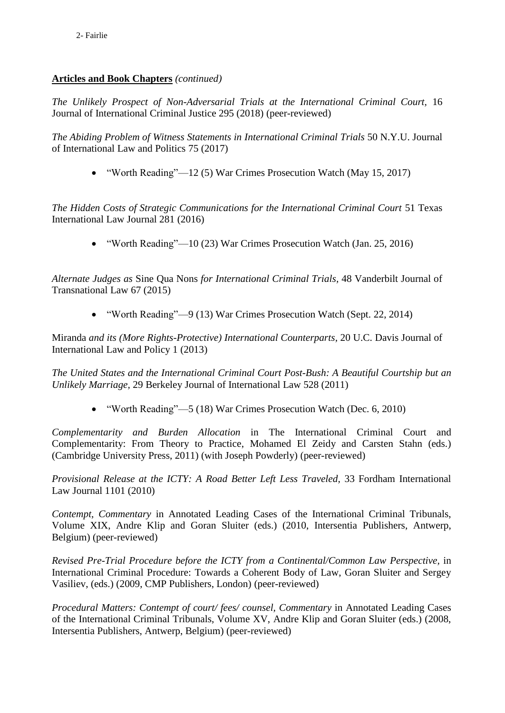## **Articles and Book Chapters** *(continued)*

*The Unlikely Prospect of Non-Adversarial Trials at the International Criminal Court,* 16 Journal of International Criminal Justice 295 (2018) (peer-reviewed)

*The Abiding Problem of Witness Statements in International Criminal Trials* 50 N.Y.U. Journal of International Law and Politics 75 (2017)

• "Worth Reading"—12 (5) War Crimes Prosecution Watch (May 15, 2017)

*The Hidden Costs of Strategic Communications for the International Criminal Court* 51 Texas International Law Journal 281 (2016)

• "Worth Reading"—10 (23) War Crimes Prosecution Watch (Jan. 25, 2016)

*Alternate Judges as* Sine Qua Nons *for International Criminal Trials,* 48 Vanderbilt Journal of Transnational Law 67 (2015)

• "Worth Reading"—9 (13) War Crimes Prosecution Watch (Sept. 22, 2014)

Miranda *and its (More Rights-Protective) International Counterparts,* 20 U.C. Davis Journal of International Law and Policy 1 (2013)

*The United States and the International Criminal Court Post-Bush: A Beautiful Courtship but an Unlikely Marriage,* 29 Berkeley Journal of International Law 528 (2011)

• "Worth Reading"—5 (18) War Crimes Prosecution Watch (Dec. 6, 2010)

*Complementarity and Burden Allocation* in The International Criminal Court and Complementarity: From Theory to Practice, Mohamed El Zeidy and Carsten Stahn (eds.) (Cambridge University Press, 2011) (with Joseph Powderly) (peer-reviewed)

*Provisional Release at the ICTY: A Road Better Left Less Traveled,* 33 Fordham International Law Journal 1101 (2010)

*Contempt, Commentary* in Annotated Leading Cases of the International Criminal Tribunals, Volume XIX, Andre Klip and Goran Sluiter (eds.) (2010, Intersentia Publishers, Antwerp, Belgium) (peer-reviewed)

*Revised Pre-Trial Procedure before the ICTY from a Continental/Common Law Perspective,* in International Criminal Procedure: Towards a Coherent Body of Law, Goran Sluiter and Sergey Vasiliev, (eds.) (2009, CMP Publishers, London) (peer-reviewed)

*Procedural Matters: Contempt of court/ fees/ counsel, Commentary* in Annotated Leading Cases of the International Criminal Tribunals, Volume XV, Andre Klip and Goran Sluiter (eds.) (2008, Intersentia Publishers, Antwerp, Belgium) (peer-reviewed)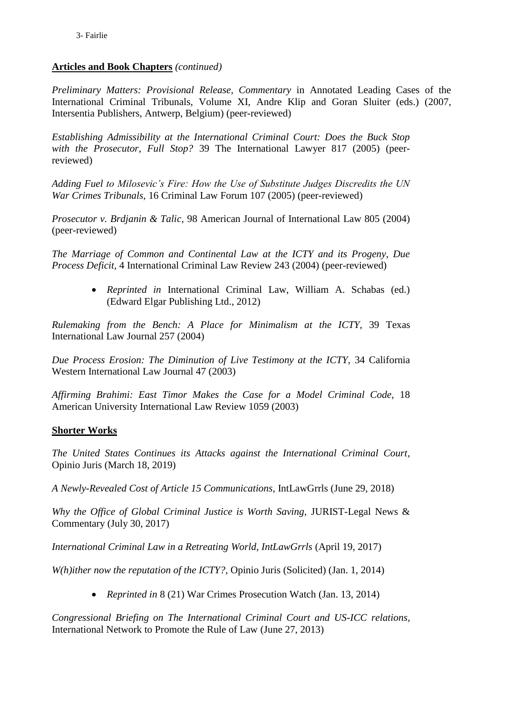## **Articles and Book Chapters** *(continued)*

*Preliminary Matters: Provisional Release, Commentary* in Annotated Leading Cases of the International Criminal Tribunals, Volume XI, Andre Klip and Goran Sluiter (eds.) (2007, Intersentia Publishers, Antwerp, Belgium) (peer-reviewed)

*Establishing Admissibility at the International Criminal Court: Does the Buck Stop with the Prosecutor, Full Stop?* 39 The International Lawyer 817 (2005) (peerreviewed)

*Adding Fuel to Milosevic's Fire: How the Use of Substitute Judges Discredits the UN War Crimes Tribunals,* 16 Criminal Law Forum 107 (2005) (peer-reviewed)

*Prosecutor v. Brdjanin & Talic*, 98 American Journal of International Law 805 (2004) (peer-reviewed)

*The Marriage of Common and Continental Law at the ICTY and its Progeny, Due Process Deficit,* 4 International Criminal Law Review 243 (2004) (peer-reviewed)

> *Reprinted in* International Criminal Law, William A. Schabas (ed.) (Edward Elgar Publishing Ltd., 2012)

*Rulemaking from the Bench: A Place for Minimalism at the ICTY,* 39 Texas International Law Journal 257 (2004)

*Due Process Erosion: The Diminution of Live Testimony at the ICTY,* 34 California Western International Law Journal 47 (2003)

*Affirming Brahimi: East Timor Makes the Case for a Model Criminal Code,* 18 American University International Law Review 1059 (2003)

## **Shorter Works**

*The United States Continues its Attacks against the International Criminal Court,*  Opinio Juris (March 18, 2019)

*A Newly-Revealed Cost of Article 15 Communications,* IntLawGrrls (June 29, 2018)

*Why the Office of Global Criminal Justice is Worth Saving,* JURIST-Legal News & Commentary (July 30, 2017)

*International Criminal Law in a Retreating World, IntLawGrrls* (April 19, 2017)

*W(h)ither now the reputation of the ICTY?,* Opinio Juris (Solicited) (Jan. 1, 2014)

*Reprinted in* 8 (21) War Crimes Prosecution Watch (Jan. 13, 2014)

*Congressional Briefing on The International Criminal Court and US-ICC relations,*  International Network to Promote the Rule of Law (June 27, 2013)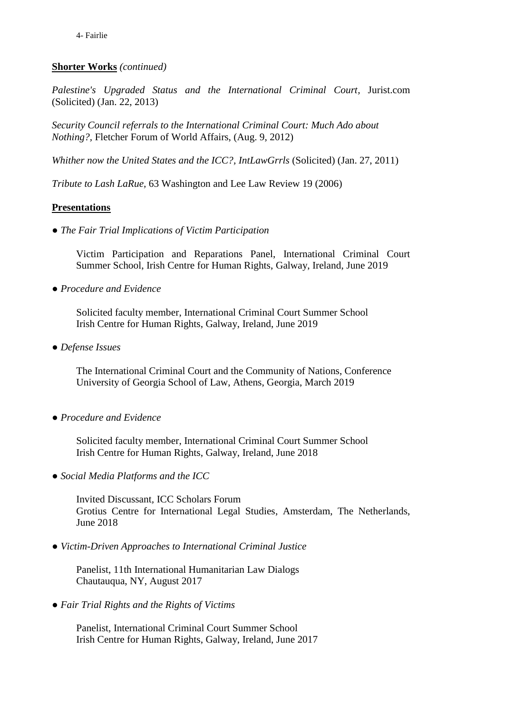# **Shorter Works** *(continued)*

*Palestine's Upgraded Status and the International Criminal Court,* Jurist.com (Solicited) (Jan. 22, 2013)

*Security Council referrals to the International Criminal Court: Much Ado about Nothing?,* Fletcher Forum of World Affairs, (Aug. 9, 2012)

*Whither now the United States and the ICC?, IntLawGrrls* (Solicited) (Jan. 27, 2011)

*Tribute to Lash LaRue,* 63 Washington and Lee Law Review 19 (2006)

#### **Presentations**

● *The Fair Trial Implications of Victim Participation*

Victim Participation and Reparations Panel, International Criminal Court Summer School, Irish Centre for Human Rights, Galway, Ireland, June 2019

● *Procedure and Evidence*

Solicited faculty member, International Criminal Court Summer School Irish Centre for Human Rights, Galway, Ireland, June 2019

● *Defense Issues*

The International Criminal Court and the Community of Nations, Conference University of Georgia School of Law, Athens, Georgia, March 2019

● *Procedure and Evidence*

Solicited faculty member, International Criminal Court Summer School Irish Centre for Human Rights, Galway, Ireland, June 2018

● *Social Media Platforms and the ICC*

Invited Discussant*,* ICC Scholars Forum Grotius Centre for International Legal Studies, Amsterdam, The Netherlands, June 2018

● *Victim-Driven Approaches to International Criminal Justice*

Panelist, 11th International Humanitarian Law Dialogs Chautauqua, NY, August 2017

● *Fair Trial Rights and the Rights of Victims* 

Panelist, International Criminal Court Summer School Irish Centre for Human Rights, Galway, Ireland, June 2017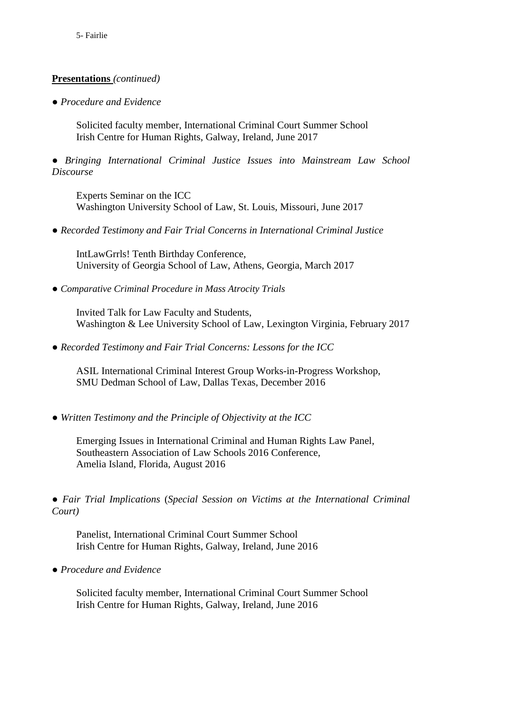● *Procedure and Evidence*

Solicited faculty member, International Criminal Court Summer School Irish Centre for Human Rights, Galway, Ireland, June 2017

● *Bringing International Criminal Justice Issues into Mainstream Law School Discourse*

Experts Seminar on the ICC Washington University School of Law, St. Louis, Missouri, June 2017

● *Recorded Testimony and Fair Trial Concerns in International Criminal Justice*

IntLawGrrls! Tenth Birthday Conference, University of Georgia School of Law, Athens, Georgia, March 2017

● *Comparative Criminal Procedure in Mass Atrocity Trials*

Invited Talk for Law Faculty and Students, Washington & Lee University School of Law, Lexington Virginia, February 2017

● *Recorded Testimony and Fair Trial Concerns: Lessons for the ICC*

ASIL International Criminal Interest Group Works-in-Progress Workshop, SMU Dedman School of Law, Dallas Texas, December 2016

● *Written Testimony and the Principle of Objectivity at the ICC*

Emerging Issues in International Criminal and Human Rights Law Panel, Southeastern Association of Law Schools 2016 Conference, Amelia Island, Florida, August 2016

● *Fair Trial Implications* (*Special Session on Victims at the International Criminal Court)*

Panelist, International Criminal Court Summer School Irish Centre for Human Rights, Galway, Ireland, June 2016

● *Procedure and Evidence*

Solicited faculty member, International Criminal Court Summer School Irish Centre for Human Rights, Galway, Ireland, June 2016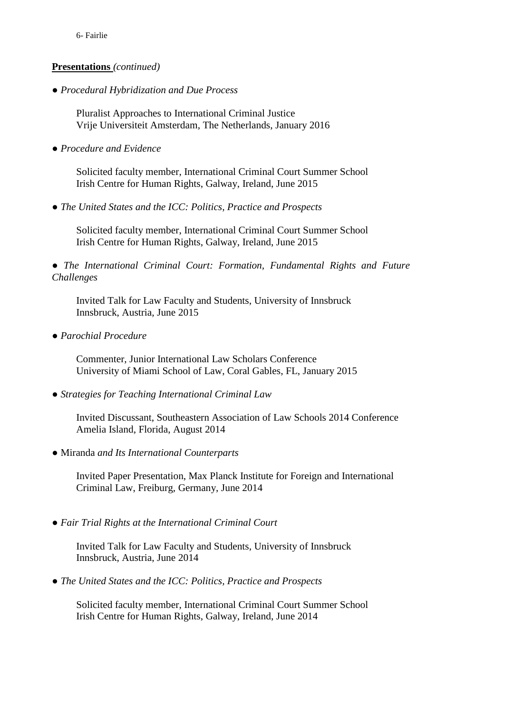● *Procedural Hybridization and Due Process*

Pluralist Approaches to International Criminal Justice Vrije Universiteit Amsterdam, The Netherlands, January 2016

● *Procedure and Evidence*

Solicited faculty member, International Criminal Court Summer School Irish Centre for Human Rights, Galway, Ireland, June 2015

● *The United States and the ICC: Politics, Practice and Prospects*

Solicited faculty member, International Criminal Court Summer School Irish Centre for Human Rights, Galway, Ireland, June 2015

● *The International Criminal Court: Formation, Fundamental Rights and Future Challenges*

Invited Talk for Law Faculty and Students, University of Innsbruck Innsbruck, Austria, June 2015

● *Parochial Procedure*

Commenter, Junior International Law Scholars Conference University of Miami School of Law, Coral Gables, FL, January 2015

● *Strategies for Teaching International Criminal Law*

Invited Discussant, Southeastern Association of Law Schools 2014 Conference Amelia Island, Florida, August 2014

● Miranda *and Its International Counterparts*

Invited Paper Presentation, Max Planck Institute for Foreign and International Criminal Law, Freiburg, Germany, June 2014

● *Fair Trial Rights at the International Criminal Court*

Invited Talk for Law Faculty and Students, University of Innsbruck Innsbruck, Austria, June 2014

● *The United States and the ICC: Politics, Practice and Prospects*

Solicited faculty member, International Criminal Court Summer School Irish Centre for Human Rights, Galway, Ireland, June 2014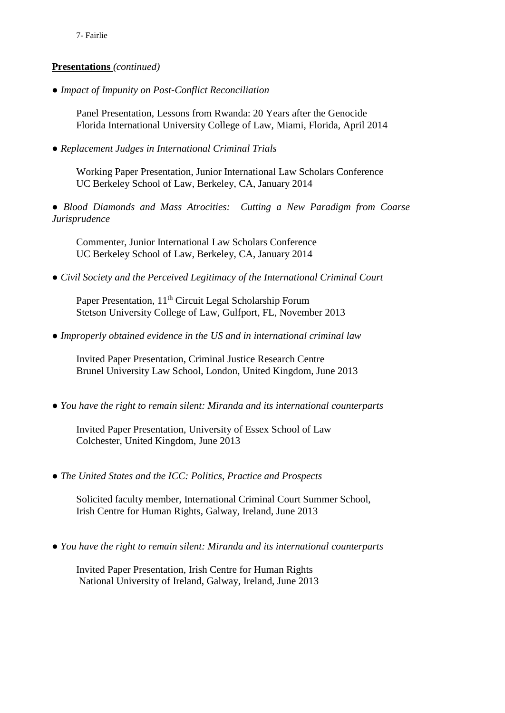● *Impact of Impunity on Post-Conflict Reconciliation*

Panel Presentation, Lessons from Rwanda: 20 Years after the Genocide Florida International University College of Law, Miami, Florida, April 2014

● *Replacement Judges in International Criminal Trials*

Working Paper Presentation, Junior International Law Scholars Conference UC Berkeley School of Law, Berkeley, CA, January 2014

● *Blood Diamonds and Mass Atrocities: Cutting a New Paradigm from Coarse Jurisprudence*

Commenter, Junior International Law Scholars Conference UC Berkeley School of Law, Berkeley, CA, January 2014

● *Civil Society and the Perceived Legitimacy of the International Criminal Court*

Paper Presentation, 11<sup>th</sup> Circuit Legal Scholarship Forum Stetson University College of Law, Gulfport, FL, November 2013

● *Improperly obtained evidence in the US and in international criminal law*

Invited Paper Presentation, Criminal Justice Research Centre Brunel University Law School, London, United Kingdom, June 2013

● *You have the right to remain silent: Miranda and its international counterparts*

Invited Paper Presentation, University of Essex School of Law Colchester, United Kingdom, June 2013

● *The United States and the ICC: Politics, Practice and Prospects*

Solicited faculty member, International Criminal Court Summer School, Irish Centre for Human Rights, Galway, Ireland, June 2013

● *You have the right to remain silent: Miranda and its international counterparts*

Invited Paper Presentation, Irish Centre for Human Rights National University of Ireland, Galway, Ireland, June 2013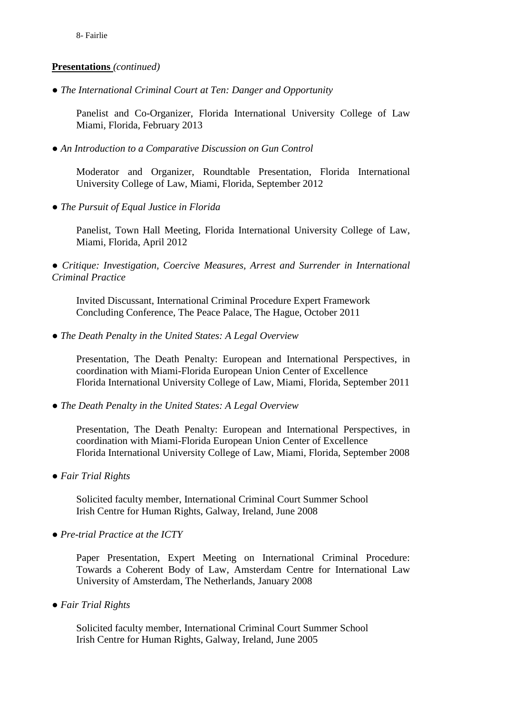● *The International Criminal Court at Ten: Danger and Opportunity*

Panelist and Co-Organizer, Florida International University College of Law Miami, Florida, February 2013

● *An Introduction to a Comparative Discussion on Gun Control*

Moderator and Organizer, Roundtable Presentation, Florida International University College of Law, Miami, Florida, September 2012

● *The Pursuit of Equal Justice in Florida*

Panelist, Town Hall Meeting, Florida International University College of Law, Miami, Florida, April 2012

● *Critique: Investigation, Coercive Measures, Arrest and Surrender in International Criminal Practice*

Invited Discussant, International Criminal Procedure Expert Framework Concluding Conference, The Peace Palace, The Hague, October 2011

● *The Death Penalty in the United States: A Legal Overview* 

Presentation, The Death Penalty: European and International Perspectives, in coordination with Miami-Florida European Union Center of Excellence Florida International University College of Law, Miami, Florida, September 2011

● *The Death Penalty in the United States: A Legal Overview* 

Presentation, The Death Penalty: European and International Perspectives, in coordination with Miami-Florida European Union Center of Excellence Florida International University College of Law, Miami, Florida, September 2008

● *Fair Trial Rights*

Solicited faculty member, International Criminal Court Summer School Irish Centre for Human Rights, Galway, Ireland, June 2008

● *Pre-trial Practice at the ICTY*

Paper Presentation, Expert Meeting on International Criminal Procedure: Towards a Coherent Body of Law*,* Amsterdam Centre for International Law University of Amsterdam, The Netherlands, January 2008

● *Fair Trial Rights*

Solicited faculty member, International Criminal Court Summer School Irish Centre for Human Rights, Galway, Ireland, June 2005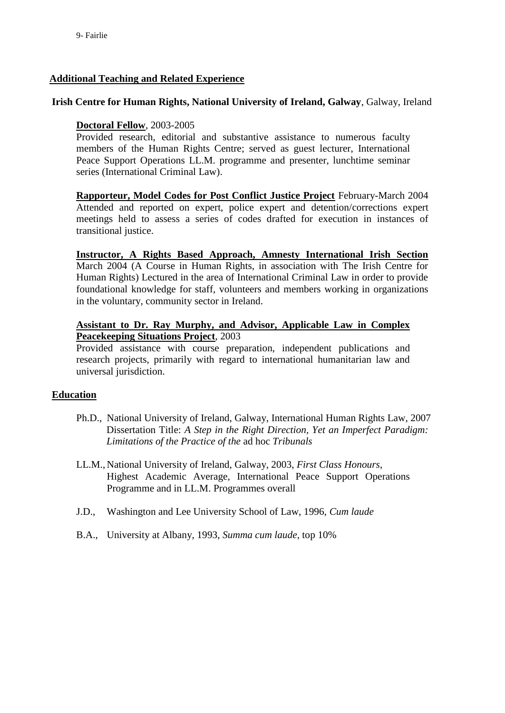#### **Additional Teaching and Related Experience**

#### **Irish Centre for Human Rights, National University of Ireland, Galway**, Galway, Ireland

#### **Doctoral Fellow**, 2003-2005

Provided research, editorial and substantive assistance to numerous faculty members of the Human Rights Centre; served as guest lecturer, International Peace Support Operations LL.M. programme and presenter, lunchtime seminar series (International Criminal Law).

**Rapporteur, Model Codes for Post Conflict Justice Project** February-March 2004 Attended and reported on expert, police expert and detention/corrections expert meetings held to assess a series of codes drafted for execution in instances of transitional justice.

**Instructor, A Rights Based Approach, Amnesty International Irish Section** March 2004 (A Course in Human Rights, in association with The Irish Centre for Human Rights) Lectured in the area of International Criminal Law in order to provide foundational knowledge for staff, volunteers and members working in organizations in the voluntary, community sector in Ireland.

#### **Assistant to Dr. Ray Murphy, and Advisor, Applicable Law in Complex Peacekeeping Situations Project**, 2003

Provided assistance with course preparation, independent publications and research projects, primarily with regard to international humanitarian law and universal jurisdiction.

#### **Education**

- Ph.D., National University of Ireland, Galway, International Human Rights Law, 2007 Dissertation Title: *A Step in the Right Direction, Yet an Imperfect Paradigm: Limitations of the Practice of the* ad hoc *Tribunals*
- LL.M., National University of Ireland, Galway, 2003, *First Class Honours*, Highest Academic Average, International Peace Support Operations Programme and in LL.M. Programmes overall
- J.D., Washington and Lee University School of Law, 1996, *Cum laude*
- B.A., University at Albany, 1993, *Summa cum laude,* top 10%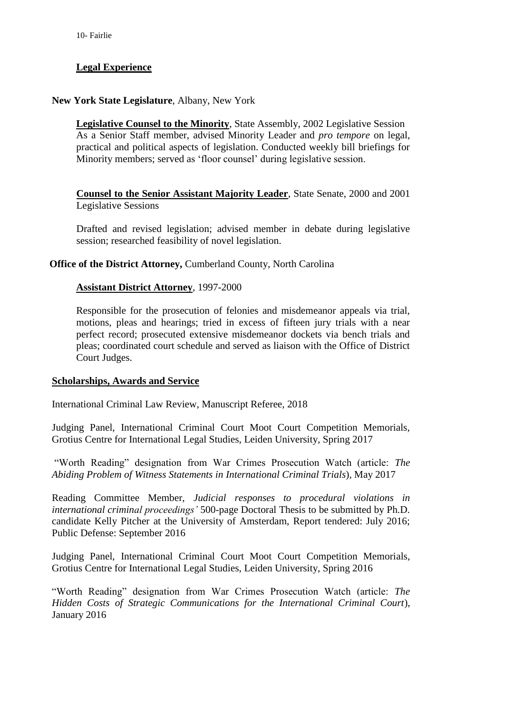# **Legal Experience**

#### **New York State Legislature**, Albany, New York

**Legislative Counsel to the Minority**, State Assembly, 2002 Legislative Session As a Senior Staff member, advised Minority Leader and *pro tempore* on legal, practical and political aspects of legislation. Conducted weekly bill briefings for Minority members; served as 'floor counsel' during legislative session.

**Counsel to the Senior Assistant Majority Leader**, State Senate, 2000 and 2001 Legislative Sessions

Drafted and revised legislation; advised member in debate during legislative session; researched feasibility of novel legislation.

#### **Office of the District Attorney,** Cumberland County, North Carolina

#### **Assistant District Attorney**, 1997-2000

Responsible for the prosecution of felonies and misdemeanor appeals via trial, motions, pleas and hearings; tried in excess of fifteen jury trials with a near perfect record; prosecuted extensive misdemeanor dockets via bench trials and pleas; coordinated court schedule and served as liaison with the Office of District Court Judges.

#### **Scholarships, Awards and Service**

International Criminal Law Review, Manuscript Referee, 2018

Judging Panel, International Criminal Court Moot Court Competition Memorials, Grotius Centre for International Legal Studies, Leiden University, Spring 2017

"Worth Reading" designation from War Crimes Prosecution Watch (article: *The Abiding Problem of Witness Statements in International Criminal Trials*), May 2017

Reading Committee Member, *Judicial responses to procedural violations in international criminal proceedings'* 500-page Doctoral Thesis to be submitted by Ph.D. candidate Kelly Pitcher at the University of Amsterdam, Report tendered: July 2016; Public Defense: September 2016

Judging Panel, International Criminal Court Moot Court Competition Memorials, Grotius Centre for International Legal Studies, Leiden University, Spring 2016

"Worth Reading" designation from War Crimes Prosecution Watch (article: *The Hidden Costs of Strategic Communications for the International Criminal Court*), January 2016